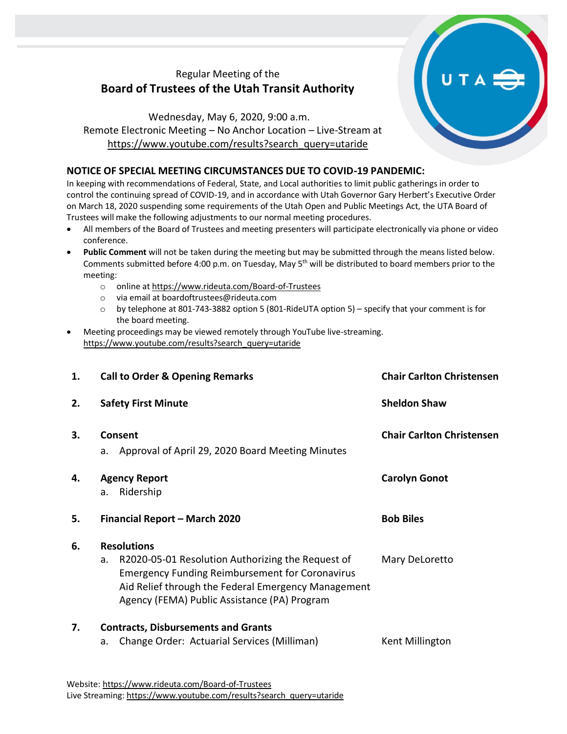## Regular Meeting of the **Board of Trustees of the Utah Transit Authority**

Wednesday, May 6, 2020, 9:00 a.m. Remote Electronic Meeting – No Anchor Location – Live-Stream at [https://www.youtube.com/results?search\\_query=utaride](https://www.youtube.com/results?search_query=utaride)

## **NOTICE OF SPECIAL MEETING CIRCUMSTANCES DUE TO COVID-19 PANDEMIC:**

In keeping with recommendations of Federal, State, and Local authorities to limit public gatherings in order to control the continuing spread of COVID-19, and in accordance with Utah Governor Gary Herbert's Executive Order on March 18, 2020 suspending some requirements of the Utah Open and Public Meetings Act, the UTA Board of Trustees will make the following adjustments to our normal meeting procedures.

- All members of the Board of Trustees and meeting presenters will participate electronically via phone or video conference.
- **Public Comment** will not be taken during the meeting but may be submitted through the means listed below. Comments submitted before 4:00 p.m. on Tuesday, May 5<sup>th</sup> will be distributed to board members prior to the meeting:
	- o online a[t https://www.rideuta.com/Board-of-Trustees](https://www.rideuta.com/Board-of-Trustees)
	- o via email at [boardoftrustees@rideuta.com](mailto:boardoftrustees@rideuta.com)
	- o by telephone at 801-743-3882 option 5 (801-RideUTA option 5) specify that your comment is for the board meeting.
- Meeting proceedings may be viewed remotely through YouTube live-streaming. [https://www.youtube.com/results?search\\_query=utaride](https://www.youtube.com/results?search_query=utaride)

| 1. | <b>Call to Order &amp; Opening Remarks</b>                                                                                                                                                                                                     | <b>Chair Carlton Christensen</b> |
|----|------------------------------------------------------------------------------------------------------------------------------------------------------------------------------------------------------------------------------------------------|----------------------------------|
| 2. | <b>Safety First Minute</b>                                                                                                                                                                                                                     | <b>Sheldon Shaw</b>              |
| 3. | <b>Consent</b><br>a. Approval of April 29, 2020 Board Meeting Minutes                                                                                                                                                                          | <b>Chair Carlton Christensen</b> |
| 4. | <b>Agency Report</b><br>Ridership<br>a.                                                                                                                                                                                                        | <b>Carolyn Gonot</b>             |
| 5. | Financial Report - March 2020                                                                                                                                                                                                                  | <b>Bob Biles</b>                 |
| 6. | <b>Resolutions</b><br>R2020-05-01 Resolution Authorizing the Request of<br>a.<br><b>Emergency Funding Reimbursement for Coronavirus</b><br>Aid Relief through the Federal Emergency Management<br>Agency (FEMA) Public Assistance (PA) Program | Mary DeLoretto                   |
| 7. | <b>Contracts, Disbursements and Grants</b><br>Change Order: Actuarial Services (Milliman)<br>a.                                                                                                                                                | Kent Millington                  |